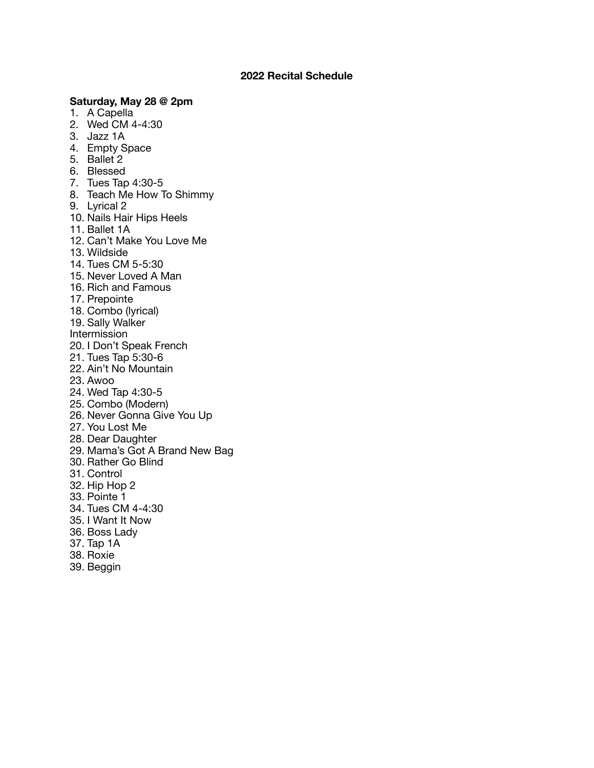## **2022 Recital Schedule**

## **Saturday, May 28 @ 2pm**

- 1. A Capella
- 2. Wed CM 4-4:30
- 3. Jazz 1A
- 4. Empty Space
- 5. Ballet 2
- 6. Blessed
- 7. Tues Tap 4:30-5
- 8. Teach Me How To Shimmy
- 9. Lyrical 2
- 10. Nails Hair Hips Heels
- 11. Ballet 1A
- 12. Can't Make You Love Me
- 13. Wildside
- 14. Tues CM 5-5:30
- 15. Never Loved A Man
- 16. Rich and Famous
- 17. Prepointe
- 18. Combo (lyrical)
- 19. Sally Walker
- Intermission
- 20. I Don't Speak French
- 21. Tues Tap 5:30-6
- 22. Ain't No Mountain
- 23. Awoo
- 24. Wed Tap 4:30-5
- 25. Combo (Modern)
- 26. Never Gonna Give You Up
- 27. You Lost Me
- 28. Dear Daughter
- 29. Mama's Got A Brand New Bag
- 30. Rather Go Blind
- 31. Control
- 32. Hip Hop 2
- 33. Pointe 1
- 34. Tues CM 4-4:30
- 35. I Want It Now
- 36. Boss Lady
- 37. Tap 1A
- 38. Roxie
- 39. Beggin